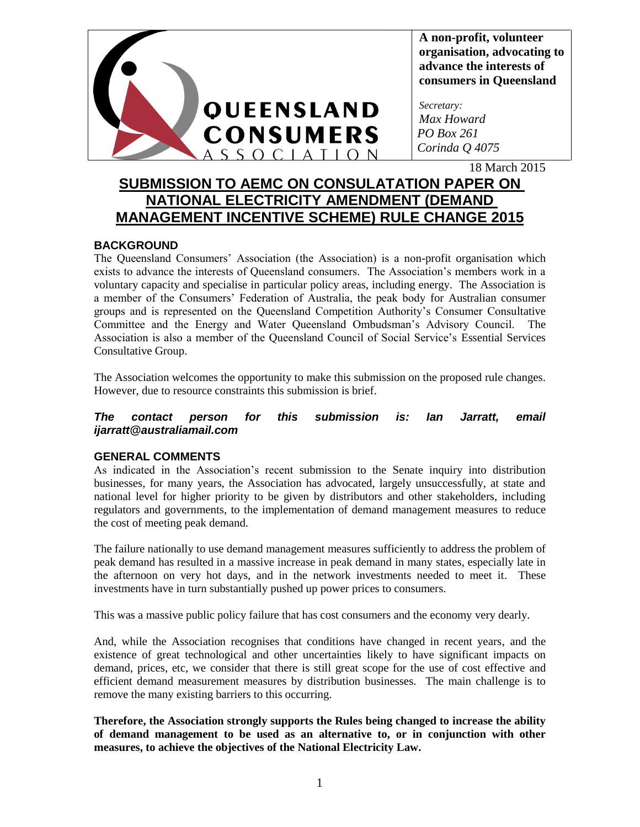

**A non-profit, volunteer organisation, advocating to advance the interests of consumers in Queensland**

*Secretary: Max Howard PO Box 261 Corinda Q 4075*

18 March 2015

# **SUBMISSION TO AEMC ON CONSULATATION PAPER ON NATIONAL ELECTRICITY AMENDMENT (DEMAND MANAGEMENT INCENTIVE SCHEME) RULE CHANGE 2015**

## **BACKGROUND**

The Queensland Consumers' Association (the Association) is a non-profit organisation which exists to advance the interests of Queensland consumers. The Association's members work in a voluntary capacity and specialise in particular policy areas, including energy. The Association is a member of the Consumers' Federation of Australia, the peak body for Australian consumer groups and is represented on the Queensland Competition Authority's Consumer Consultative Committee and the Energy and Water Queensland Ombudsman's Advisory Council. The Association is also a member of the Queensland Council of Social Service's Essential Services Consultative Group.

The Association welcomes the opportunity to make this submission on the proposed rule changes. However, due to resource constraints this submission is brief.

#### *The contact person for this submission is: Ian Jarratt, email ijarratt@australiamail.com*

## **GENERAL COMMENTS**

As indicated in the Association's recent submission to the Senate inquiry into distribution businesses, for many years, the Association has advocated, largely unsuccessfully, at state and national level for higher priority to be given by distributors and other stakeholders, including regulators and governments, to the implementation of demand management measures to reduce the cost of meeting peak demand.

The failure nationally to use demand management measures sufficiently to address the problem of peak demand has resulted in a massive increase in peak demand in many states, especially late in the afternoon on very hot days, and in the network investments needed to meet it. These investments have in turn substantially pushed up power prices to consumers.

This was a massive public policy failure that has cost consumers and the economy very dearly.

And, while the Association recognises that conditions have changed in recent years, and the existence of great technological and other uncertainties likely to have significant impacts on demand, prices, etc, we consider that there is still great scope for the use of cost effective and efficient demand measurement measures by distribution businesses. The main challenge is to remove the many existing barriers to this occurring.

**Therefore, the Association strongly supports the Rules being changed to increase the ability of demand management to be used as an alternative to, or in conjunction with other measures, to achieve the objectives of the National Electricity Law.**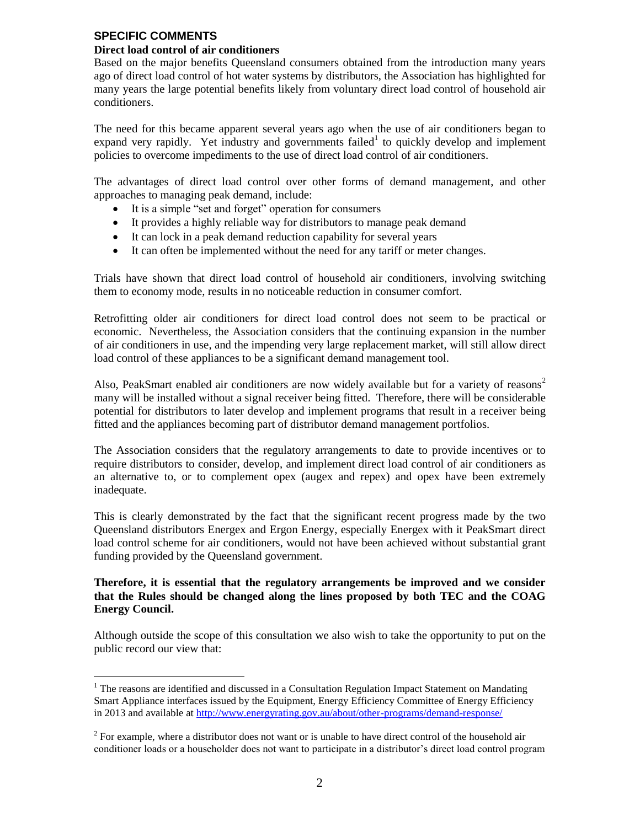## **SPECIFIC COMMENTS**

 $\overline{a}$ 

#### **Direct load control of air conditioners**

Based on the major benefits Queensland consumers obtained from the introduction many years ago of direct load control of hot water systems by distributors, the Association has highlighted for many years the large potential benefits likely from voluntary direct load control of household air conditioners.

The need for this became apparent several years ago when the use of air conditioners began to expand very rapidly. Yet industry and governments failed<sup>1</sup> to quickly develop and implement policies to overcome impediments to the use of direct load control of air conditioners.

The advantages of direct load control over other forms of demand management, and other approaches to managing peak demand, include:

- It is a simple "set and forget" operation for consumers
- It provides a highly reliable way for distributors to manage peak demand
- It can lock in a peak demand reduction capability for several years
- It can often be implemented without the need for any tariff or meter changes.

Trials have shown that direct load control of household air conditioners, involving switching them to economy mode, results in no noticeable reduction in consumer comfort.

Retrofitting older air conditioners for direct load control does not seem to be practical or economic. Nevertheless, the Association considers that the continuing expansion in the number of air conditioners in use, and the impending very large replacement market, will still allow direct load control of these appliances to be a significant demand management tool.

Also, PeakSmart enabled air conditioners are now widely available but for a variety of reasons<sup>2</sup> many will be installed without a signal receiver being fitted. Therefore, there will be considerable potential for distributors to later develop and implement programs that result in a receiver being fitted and the appliances becoming part of distributor demand management portfolios.

The Association considers that the regulatory arrangements to date to provide incentives or to require distributors to consider, develop, and implement direct load control of air conditioners as an alternative to, or to complement opex (augex and repex) and opex have been extremely inadequate.

This is clearly demonstrated by the fact that the significant recent progress made by the two Queensland distributors Energex and Ergon Energy, especially Energex with it PeakSmart direct load control scheme for air conditioners, would not have been achieved without substantial grant funding provided by the Queensland government.

#### **Therefore, it is essential that the regulatory arrangements be improved and we consider that the Rules should be changed along the lines proposed by both TEC and the COAG Energy Council.**

Although outside the scope of this consultation we also wish to take the opportunity to put on the public record our view that:

 $<sup>1</sup>$  The reasons are identified and discussed in a Consultation Regulation Impact Statement on Mandating</sup> Smart Appliance interfaces issued by the Equipment, Energy Efficiency Committee of Energy Efficiency in 2013 and available at<http://www.energyrating.gov.au/about/other-programs/demand-response/>

 $2^2$  For example, where a distributor does not want or is unable to have direct control of the household air conditioner loads or a householder does not want to participate in a distributor's direct load control program